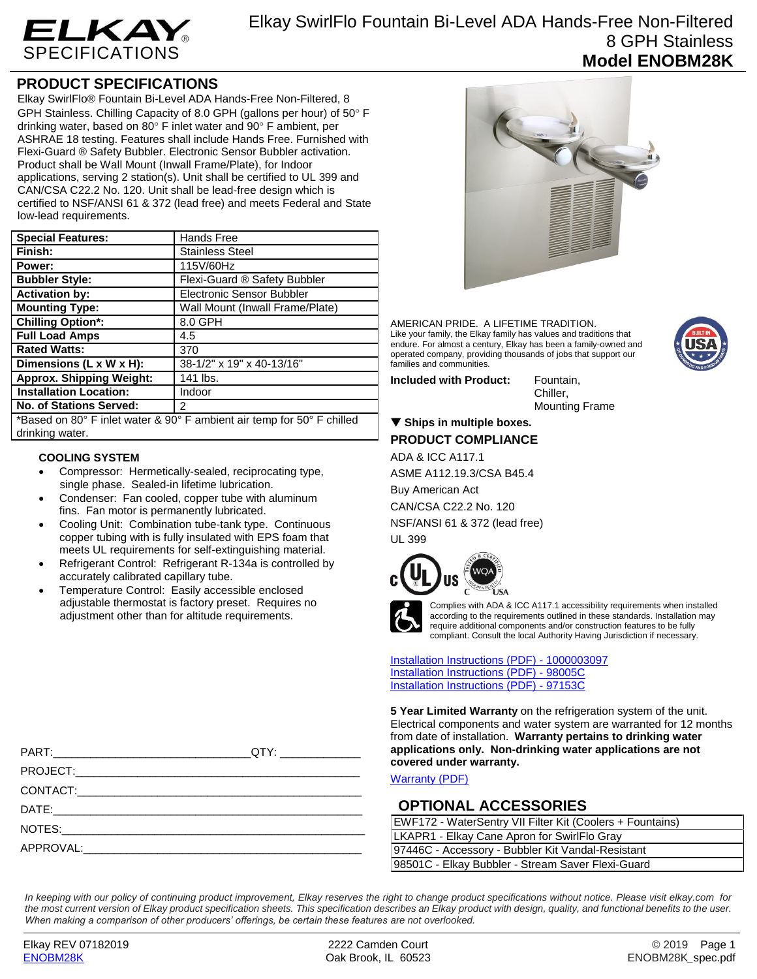

## **PRODUCT SPECIFICATIONS**

Elkay SwirlFlo® Fountain Bi-Level ADA Hands-Free Non-Filtered, 8 GPH Stainless. Chilling Capacity of 8.0 GPH (gallons per hour) of 50° F drinking water, based on 80 $\degree$  F inlet water and 90 $\degree$  F ambient, per ASHRAE 18 testing. Features shall include Hands Free. Furnished with Flexi-Guard ® Safety Bubbler. Electronic Sensor Bubbler activation. Product shall be Wall Mount (Inwall Frame/Plate), for Indoor applications, serving 2 station(s). Unit shall be certified to UL 399 and CAN/CSA C22.2 No. 120. Unit shall be lead-free design which is certified to NSF/ANSI 61 & 372 (lead free) and meets Federal and State low-lead requirements.

| <b>Special Features:</b>                                               | <b>Hands Free</b>               |
|------------------------------------------------------------------------|---------------------------------|
| Finish:                                                                | <b>Stainless Steel</b>          |
| Power:                                                                 | 115V/60Hz                       |
| <b>Bubbler Style:</b>                                                  | Flexi-Guard ® Safety Bubbler    |
| <b>Activation by:</b>                                                  | Electronic Sensor Bubbler       |
| <b>Mounting Type:</b>                                                  | Wall Mount (Inwall Frame/Plate) |
| <b>Chilling Option*:</b>                                               | 8.0 GPH                         |
| <b>Full Load Amps</b>                                                  | 4.5                             |
| <b>Rated Watts:</b>                                                    | 370                             |
| Dimensions (L x W x H):                                                | 38-1/2" x 19" x 40-13/16"       |
| <b>Approx. Shipping Weight:</b>                                        | 141 lbs.                        |
| <b>Installation Location:</b>                                          | Indoor                          |
| No. of Stations Served:                                                | 2                               |
| *Based on 80° F inlet water & 90° F ambient air temp for 50° F chilled |                                 |

\*Based on 80° F inlet water & 90° F ambient air temp for 50° F chilled drinking water.

#### **COOLING SYSTEM**

- Compressor: Hermetically-sealed, reciprocating type, single phase. Sealed-in lifetime lubrication.
- Condenser: Fan cooled, copper tube with aluminum fins. Fan motor is permanently lubricated.
- Cooling Unit: Combination tube-tank type. Continuous copper tubing with is fully insulated with EPS foam that meets UL requirements for self-extinguishing material.
- Refrigerant Control: Refrigerant R-134a is controlled by accurately calibrated capillary tube.
- Temperature Control: Easily accessible enclosed adjustable thermostat is factory preset. Requires no adjustment other than for altitude requirements.



AMERICAN PRIDE. A LIFETIME TRADITION. Like your family, the Elkay family has values and traditions that endure. For almost a century, Elkay has been a family-owned and operated company, providing thousands of jobs that support our families and communities.

**Included with Product:** Fountain,

Chiller, Mounting Frame

## **Ships in multiple boxes. PRODUCT COMPLIANCE**

ADA & ICC A117.1

ASME A112.19.3/CSA B45.4

Buy American Act CAN/CSA C22.2 No. 120 NSF/ANSI 61 & 372 (lead free)

UL 399





Complies with ADA & ICC A117.1 accessibility requirements when installed according to the requirements outlined in these standards. Installation may require additional components and/or construction features to be fully compliant. Consult the local Authority Having Jurisdiction if necessary.

[Installation Instructions \(PDF\) -](http://www.elkay.com/wcsstore/lkdocs/care-cleaning-install-warranty-sheets/1000003097.pdf) 100000309[7](http://www.elkay.com/wcsstore/lkdocs/care-cleaning-install-warranty-sheets/1000003097.pdf) [Installation Instructions \(PDF\) -](http://www.elkay.com/wcsstore/lkdocs/care-cleaning-install-warranty-sheets/98005c.pdf) 98005[C](http://www.elkay.com/wcsstore/lkdocs/care-cleaning-install-warranty-sheets/98005c.pdf) [Installation Instructions \(PDF\) -](http://www.elkay.com/wcsstore/lkdocs/care-cleaning-install-warranty-sheets/97153c.pdf) 97153[C](http://www.elkay.com/wcsstore/lkdocs/care-cleaning-install-warranty-sheets/97153c.pdf)

**5 Year Limited Warranty** on the refrigeration system of the unit. Electrical components and water system are warranted for 12 months from date of installation. **Warranty pertains to drinking water applications only. Non-drinking water applications are not covered under warranty.**

[Warranty](http://www.elkay.com/wcsstore/lkdocs/care-cleaning-install-warranty-sheets/96993c.pdf) (PDF)

### **OPTIONAL ACCESSORIES**

| EWF172 - WaterSentry VII Filter Kit (Coolers + Fountains) |  |  |
|-----------------------------------------------------------|--|--|
| LKAPR1 - Elkay Cane Apron for SwirlFlo Gray               |  |  |
| 97446C - Accessory - Bubbler Kit Vandal-Resistant         |  |  |
| 98501C - Elkay Bubbler - Stream Saver Flexi-Guard         |  |  |

*In keeping with our policy of continuing product improvement, Elkay reserves the right to change product specifications without notice. Please visit elkay.com for the most current version of Elkay product specification sheets. This specification describes an Elkay product with design, quality, and functional benefits to the user. When making a comparison of other producers' offerings, be certain these features are not overlooked.*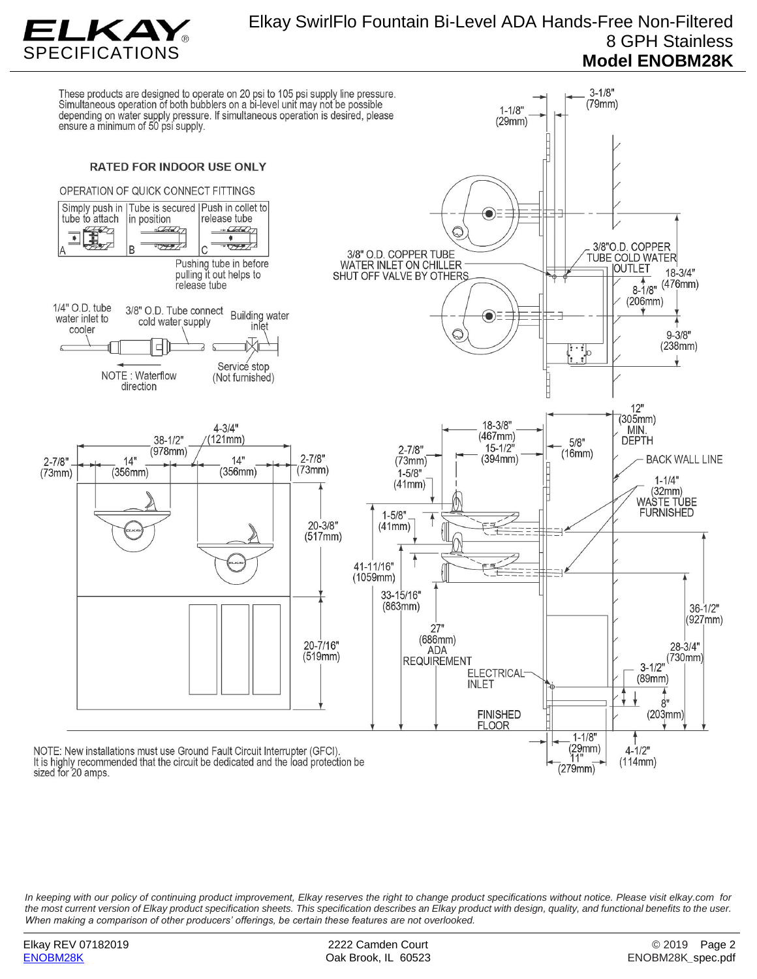

# Elkay SwirlFlo Fountain Bi-Level ADA Hands-Free Non-Filtered 8 GPH Stainless **Model ENOBM28K**

These products are designed to operate on 20 psi to 105 psi supply line pressure.<br>Simultaneous operation of both bubblers on a bi-level unit may not be possible  $3 - 1/8"$  $(79mm)$  $1 - 1/8$ depending on water supply pressure. If simultaneous operation is desired, please<br>ensure a minimum of 50 psi supply.  $(29mm)$ **RATED FOR INDOOR USE ONLY** OPERATION OF QUICK CONNECT FITTINGS Simply push in | Tube is secured | Push in collet to ◉ in position tube to attach release tube  $\overline{\bullet}$ 3/8"O.D. COPPER 3/8" O.D. COPPER TUBE **TUBE COLD WATER** Pushing tube in before WATER INLET ON CHILLER **OUTLET** pulling it out helps to  $18 - 3/4"$ SHUT OFF VALVE BY OTHERS  $(476mm)$ release tube  $8 - \frac{1}{8}$  $(206mm)$ 1/4" O.D. tube 3/8" O.D. Tube connect **Building water**  $\bullet$ water inlet to cold water supply inlet cooler  $9 - 3/8"$  $(238mm)$  $\ddot{\cdot}$  : Service stop NOTE: Waterflow (Not furnished) direction  $12"$ (305mm)<br>MIN. 18-3/8"  $4 - 3/4"$  $(467mm)$  $38 - 1/2"$  $121mm)$ **DEPTH**  $5/8"$  $15 - 1/2$  $(978$ mm)  $2 - 7/8"$  $(16mm)$  $2 - 7/8"$  $2 - 7/8"$  $14"$  $14"$  $(73mm)$  $(394mm)$ **BACK WALL LINE**  $(73mm)$  $(73mm)$  $(356mm)$  $(356mm)$  $1 - 5/8"$  $1 - 1/4"$  $(41mm)$  $(32mm)$ WASTE TÚBE **FURNISHED**  $1 - 5/8$  $20 - 3/8"$  $(41mm)$  $(517mm)$ 41-11/16" ドミ  $(1059mm)$ 33-15/16"  $(863mm)$  $36 - 1/2"$  $(927mm)$  $27"$  $(686mm)$ 20-7/16"  $28 - 3/4"$ **ADA**  $(519mm)$  $(730mm)$ **REQUIREMENT**  $3 - 1/2"$ **ELECTRICAL**  $(89mm)$ **INLET**  $8"$ **FINISHED**  $(203mm)$ **FLOOR**  $1 - 1/8"$  $(29mm)$ <br>11" NOTE: New installations must use Ground Fault Circuit Interrupter (GFCI).  $4 - 1/2"$ It is highly recommended that the circuit be dedicated and the load protection be  $(114mm)$  $(279mm)$ sized for 20 amps.

*In keeping with our policy of continuing product improvement, Elkay reserves the right to change product specifications without notice. Please visit elkay.com for the most current version of Elkay product specification sheets. This specification describes an Elkay product with design, quality, and functional benefits to the user. When making a comparison of other producers' offerings, be certain these features are not overlooked.*